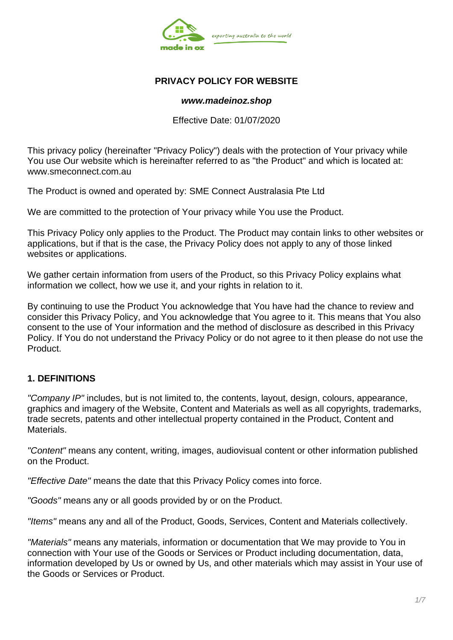

## **PRIVACY POLICY FOR WEBSITE**

#### *www.madeinoz.shop*

Effective Date: 01/07/2020

This privacy policy (hereinafter "Privacy Policy") deals with the protection of Your privacy while You use Our website which is hereinafter referred to as "the Product" and which is located at: www.smeconnect.com.au

The Product is owned and operated by: SME Connect Australasia Pte Ltd

We are committed to the protection of Your privacy while You use the Product.

This Privacy Policy only applies to the Product. The Product may contain links to other websites or applications, but if that is the case, the Privacy Policy does not apply to any of those linked websites or applications.

We gather certain information from users of the Product, so this Privacy Policy explains what information we collect, how we use it, and your rights in relation to it.

By continuing to use the Product You acknowledge that You have had the chance to review and consider this Privacy Policy, and You acknowledge that You agree to it. This means that You also consent to the use of Your information and the method of disclosure as described in this Privacy Policy. If You do not understand the Privacy Policy or do not agree to it then please do not use the Product.

### **1. DEFINITIONS**

*"Company IP"* includes, but is not limited to, the contents, layout, design, colours, appearance, graphics and imagery of the Website, Content and Materials as well as all copyrights, trademarks, trade secrets, patents and other intellectual property contained in the Product, Content and **Materials** 

*"Content"* means any content, writing, images, audiovisual content or other information published on the Product.

*"Effective Date"* means the date that this Privacy Policy comes into force.

*"Goods"* means any or all goods provided by or on the Product.

*"Items"* means any and all of the Product, Goods, Services, Content and Materials collectively.

*"Materials"* means any materials, information or documentation that We may provide to You in connection with Your use of the Goods or Services or Product including documentation, data, information developed by Us or owned by Us, and other materials which may assist in Your use of the Goods or Services or Product.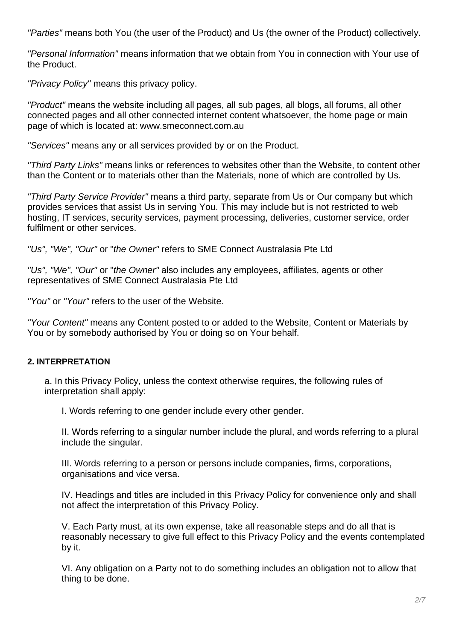*"Parties"* means both You (the user of the Product) and Us (the owner of the Product) collectively.

*"Personal Information"* means information that we obtain from You in connection with Your use of the Product.

*"Privacy Policy"* means this privacy policy.

*"Product"* means the website including all pages, all sub pages, all blogs, all forums, all other connected pages and all other connected internet content whatsoever, the home page or main page of which is located at: www.smeconnect.com.au

*"Services"* means any or all services provided by or on the Product.

*"Third Party Links"* means links or references to websites other than the Website, to content other than the Content or to materials other than the Materials, none of which are controlled by Us.

*"Third Party Service Provider"* means a third party, separate from Us or Our company but which provides services that assist Us in serving You. This may include but is not restricted to web hosting, IT services, security services, payment processing, deliveries, customer service, order fulfilment or other services.

*"Us", "We", "Our"* or "*the Owner"* refers to SME Connect Australasia Pte Ltd

*"Us", "We", "Our"* or "*the Owner"* also includes any employees, affiliates, agents or other representatives of SME Connect Australasia Pte Ltd

*"You"* or *"Your"* refers to the user of the Website.

*"Your Content"* means any Content posted to or added to the Website, Content or Materials by You or by somebody authorised by You or doing so on Your behalf.

# **2. INTERPRETATION**

a. In this Privacy Policy, unless the context otherwise requires, the following rules of interpretation shall apply:

I. Words referring to one gender include every other gender.

II. Words referring to a singular number include the plural, and words referring to a plural include the singular.

III. Words referring to a person or persons include companies, firms, corporations, organisations and vice versa.

IV. Headings and titles are included in this Privacy Policy for convenience only and shall not affect the interpretation of this Privacy Policy.

V. Each Party must, at its own expense, take all reasonable steps and do all that is reasonably necessary to give full effect to this Privacy Policy and the events contemplated by it.

VI. Any obligation on a Party not to do something includes an obligation not to allow that thing to be done.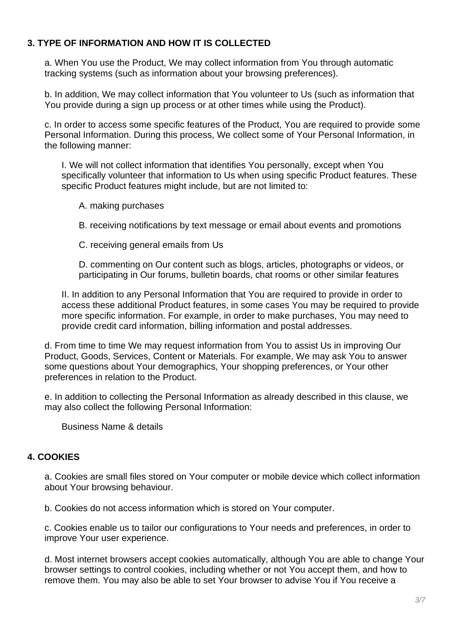## **3. TYPE OF INFORMATION AND HOW IT IS COLLECTED**

a. When You use the Product, We may collect information from You through automatic tracking systems (such as information about your browsing preferences).

b. In addition, We may collect information that You volunteer to Us (such as information that You provide during a sign up process or at other times while using the Product).

c. In order to access some specific features of the Product, You are required to provide some Personal Information. During this process, We collect some of Your Personal Information, in the following manner:

I. We will not collect information that identifies You personally, except when You specifically volunteer that information to Us when using specific Product features. These specific Product features might include, but are not limited to:

A. making purchases

B. receiving notifications by text message or email about events and promotions

C. receiving general emails from Us

D. commenting on Our content such as blogs, articles, photographs or videos, or participating in Our forums, bulletin boards, chat rooms or other similar features

II. In addition to any Personal Information that You are required to provide in order to access these additional Product features, in some cases You may be required to provide more specific information. For example, in order to make purchases, You may need to provide credit card information, billing information and postal addresses.

d. From time to time We may request information from You to assist Us in improving Our Product, Goods, Services, Content or Materials. For example, We may ask You to answer some questions about Your demographics, Your shopping preferences, or Your other preferences in relation to the Product.

e. In addition to collecting the Personal Information as already described in this clause, we may also collect the following Personal Information:

Business Name & details

### **4. COOKIES**

a. Cookies are small files stored on Your computer or mobile device which collect information about Your browsing behaviour.

b. Cookies do not access information which is stored on Your computer.

c. Cookies enable us to tailor our configurations to Your needs and preferences, in order to improve Your user experience.

d. Most internet browsers accept cookies automatically, although You are able to change Your browser settings to control cookies, including whether or not You accept them, and how to remove them. You may also be able to set Your browser to advise You if You receive a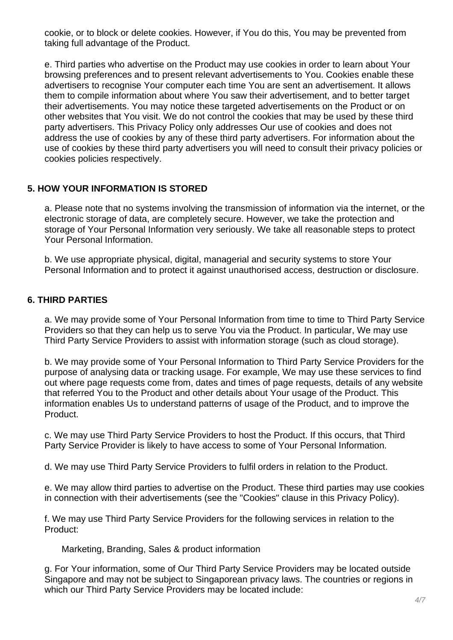cookie, or to block or delete cookies. However, if You do this, You may be prevented from taking full advantage of the Product.

e. Third parties who advertise on the Product may use cookies in order to learn about Your browsing preferences and to present relevant advertisements to You. Cookies enable these advertisers to recognise Your computer each time You are sent an advertisement. It allows them to compile information about where You saw their advertisement, and to better target their advertisements. You may notice these targeted advertisements on the Product or on other websites that You visit. We do not control the cookies that may be used by these third party advertisers. This Privacy Policy only addresses Our use of cookies and does not address the use of cookies by any of these third party advertisers. For information about the use of cookies by these third party advertisers you will need to consult their privacy policies or cookies policies respectively.

## **5. HOW YOUR INFORMATION IS STORED**

a. Please note that no systems involving the transmission of information via the internet, or the electronic storage of data, are completely secure. However, we take the protection and storage of Your Personal Information very seriously. We take all reasonable steps to protect Your Personal Information.

b. We use appropriate physical, digital, managerial and security systems to store Your Personal Information and to protect it against unauthorised access, destruction or disclosure.

## **6. THIRD PARTIES**

a. We may provide some of Your Personal Information from time to time to Third Party Service Providers so that they can help us to serve You via the Product. In particular, We may use Third Party Service Providers to assist with information storage (such as cloud storage).

b. We may provide some of Your Personal Information to Third Party Service Providers for the purpose of analysing data or tracking usage. For example, We may use these services to find out where page requests come from, dates and times of page requests, details of any website that referred You to the Product and other details about Your usage of the Product. This information enables Us to understand patterns of usage of the Product, and to improve the Product.

c. We may use Third Party Service Providers to host the Product. If this occurs, that Third Party Service Provider is likely to have access to some of Your Personal Information.

d. We may use Third Party Service Providers to fulfil orders in relation to the Product.

e. We may allow third parties to advertise on the Product. These third parties may use cookies in connection with their advertisements (see the "Cookies" clause in this Privacy Policy).

f. We may use Third Party Service Providers for the following services in relation to the Product:

Marketing, Branding, Sales & product information

g. For Your information, some of Our Third Party Service Providers may be located outside Singapore and may not be subject to Singaporean privacy laws. The countries or regions in which our Third Party Service Providers may be located include: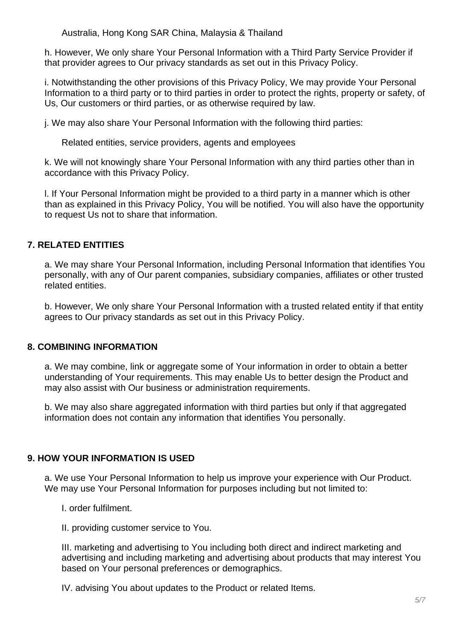Australia, Hong Kong SAR China, Malaysia & Thailand

h. However, We only share Your Personal Information with a Third Party Service Provider if that provider agrees to Our privacy standards as set out in this Privacy Policy.

i. Notwithstanding the other provisions of this Privacy Policy, We may provide Your Personal Information to a third party or to third parties in order to protect the rights, property or safety, of Us, Our customers or third parties, or as otherwise required by law.

j. We may also share Your Personal Information with the following third parties:

Related entities, service providers, agents and employees

k. We will not knowingly share Your Personal Information with any third parties other than in accordance with this Privacy Policy.

l. If Your Personal Information might be provided to a third party in a manner which is other than as explained in this Privacy Policy, You will be notified. You will also have the opportunity to request Us not to share that information.

# **7. RELATED ENTITIES**

a. We may share Your Personal Information, including Personal Information that identifies You personally, with any of Our parent companies, subsidiary companies, affiliates or other trusted related entities.

b. However, We only share Your Personal Information with a trusted related entity if that entity agrees to Our privacy standards as set out in this Privacy Policy.

# **8. COMBINING INFORMATION**

a. We may combine, link or aggregate some of Your information in order to obtain a better understanding of Your requirements. This may enable Us to better design the Product and may also assist with Our business or administration requirements.

b. We may also share aggregated information with third parties but only if that aggregated information does not contain any information that identifies You personally.

# **9. HOW YOUR INFORMATION IS USED**

a. We use Your Personal Information to help us improve your experience with Our Product. We may use Your Personal Information for purposes including but not limited to:

I. order fulfilment.

II. providing customer service to You.

III. marketing and advertising to You including both direct and indirect marketing and advertising and including marketing and advertising about products that may interest You based on Your personal preferences or demographics.

IV. advising You about updates to the Product or related Items.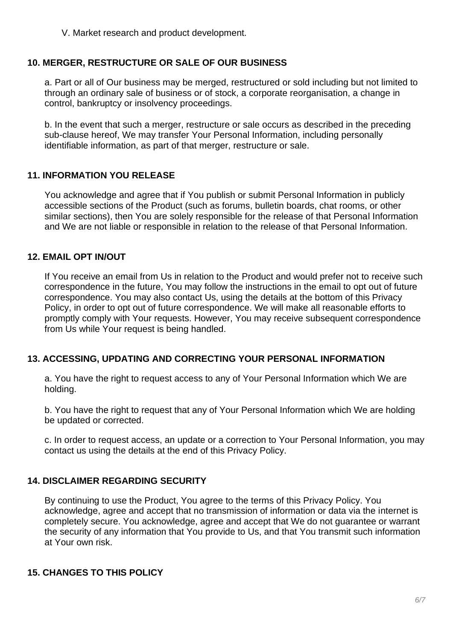V. Market research and product development.

#### **10. MERGER, RESTRUCTURE OR SALE OF OUR BUSINESS**

a. Part or all of Our business may be merged, restructured or sold including but not limited to through an ordinary sale of business or of stock, a corporate reorganisation, a change in control, bankruptcy or insolvency proceedings.

b. In the event that such a merger, restructure or sale occurs as described in the preceding sub-clause hereof, We may transfer Your Personal Information, including personally identifiable information, as part of that merger, restructure or sale.

#### **11. INFORMATION YOU RELEASE**

You acknowledge and agree that if You publish or submit Personal Information in publicly accessible sections of the Product (such as forums, bulletin boards, chat rooms, or other similar sections), then You are solely responsible for the release of that Personal Information and We are not liable or responsible in relation to the release of that Personal Information.

#### **12. EMAIL OPT IN/OUT**

If You receive an email from Us in relation to the Product and would prefer not to receive such correspondence in the future, You may follow the instructions in the email to opt out of future correspondence. You may also contact Us, using the details at the bottom of this Privacy Policy, in order to opt out of future correspondence. We will make all reasonable efforts to promptly comply with Your requests. However, You may receive subsequent correspondence from Us while Your request is being handled.

### **13. ACCESSING, UPDATING AND CORRECTING YOUR PERSONAL INFORMATION**

a. You have the right to request access to any of Your Personal Information which We are holding.

b. You have the right to request that any of Your Personal Information which We are holding be updated or corrected.

c. In order to request access, an update or a correction to Your Personal Information, you may contact us using the details at the end of this Privacy Policy.

### **14. DISCLAIMER REGARDING SECURITY**

By continuing to use the Product, You agree to the terms of this Privacy Policy. You acknowledge, agree and accept that no transmission of information or data via the internet is completely secure. You acknowledge, agree and accept that We do not guarantee or warrant the security of any information that You provide to Us, and that You transmit such information at Your own risk.

### **15. CHANGES TO THIS POLICY**